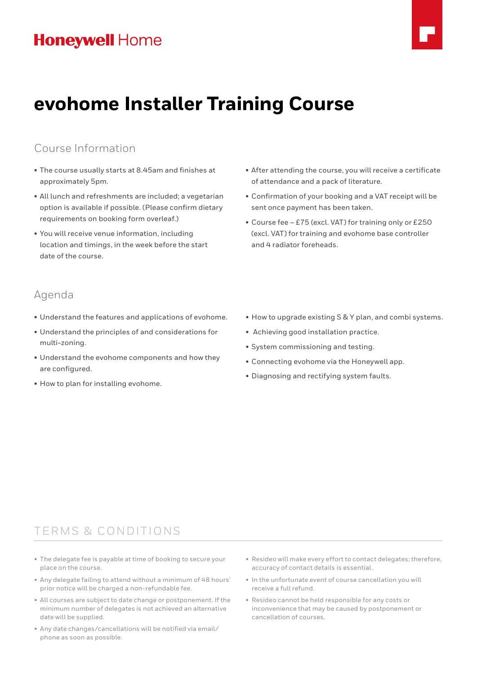

# **evohome Installer Training Course**

### Course Information

- The course usually starts at 8.45am and finishes at approximately 5pm.
- All lunch and refreshments are included; a vegetarian option is available if possible. (Please confirm dietary requirements on booking form overleaf.)
- You will receive venue information, including location and timings, in the week before the start date of the course.
- After attending the course, you will receive a certificate of attendance and a pack of literature.
- Confirmation of your booking and a VAT receipt will be sent once payment has been taken.
- Course fee £75 (excl. VAT) for training only or £250 (excl. VAT) for training and evohome base controller and 4 radiator foreheads.

### Agenda

- Understand the features and applications of evohome.
- Understand the principles of and considerations for multi-zoning.
- Understand the evohome components and how they are configured.
- How to plan for installing evohome.
- How to upgrade existing S & Y plan, and combi systems.
- Achieving good installation practice.
- System commissioning and testing.
- Connecting evohome via the Honeywell app.
- Diagnosing and rectifying system faults.

### TERMS & CONDITIONS

- The delegate fee is payable at time of booking to secure your place on the course.
- Any delegate failing to attend without a minimum of 48 hours' prior notice will be charged a non-refundable fee.
- All courses are subject to date change or postponement. If the minimum number of delegates is not achieved an alternative date will be supplied.
- Any date changes/cancellations will be notified via email/ phone as soon as possible.
- Resideo will make every effort to contact delegates; therefore, accuracy of contact details is essential.
- In the unfortunate event of course cancellation you will receive a full refund.
- Resideo cannot be held responsible for any costs or inconvenience that may be caused by postponement or cancellation of courses.